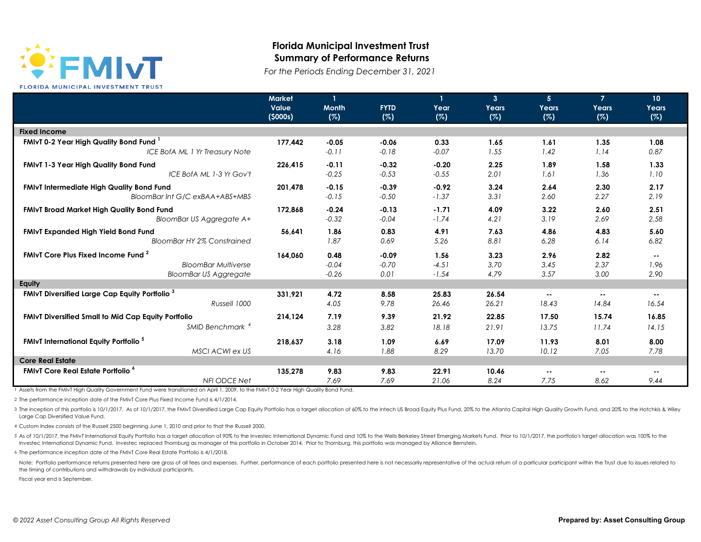

## **Florida Municipal Investment Trust Summary of Performance Returns**

*For the Periods Ending December 31, 2021*

|                                                                  | Market<br>Value<br>(5000s) | <b>Month</b><br>(%) | <b>FYTD</b><br>(%) | $\mathbf{I}$<br>Year<br>(%) | $\mathbf{3}$<br>Years<br>(%) | 5 <sup>5</sup><br>Years<br>(%) | $\overline{7}$<br>Years<br>(%) | 10 <sup>°</sup><br>Years<br>(%) |
|------------------------------------------------------------------|----------------------------|---------------------|--------------------|-----------------------------|------------------------------|--------------------------------|--------------------------------|---------------------------------|
| <b>Fixed Income</b>                                              |                            |                     |                    |                             |                              |                                |                                |                                 |
| <b>FMIvT 0-2 Year High Quality Bond Fund</b>                     | 177.442                    | $-0.05$             | $-0.06$            | 0.33                        | 1.65                         | 1.61                           | 1.35                           | 1.08                            |
| ICE BofA ML 1 Yr Treasury Note                                   |                            | $-0.11$             | $-0.18$            | $-0.07$                     | 1.55                         | 1.42                           | 1.14                           | 0.87                            |
| <b>FMIvT 1-3 Year High Quality Bond Fund</b>                     | 226,415                    | $-0.11$             | $-0.32$            | $-0.20$                     | 2.25                         | 1.89                           | 1.58                           | 1.33                            |
| ICE BofA ML 1-3 Yr Gov't                                         |                            | $-0.25$             | $-0.53$            | $-0.55$                     | 2.01                         | 1.61                           | 1.36                           | 1.10                            |
| <b>FMIVT Intermediate High Quality Bond Fund</b>                 | 201,478                    | $-0.15$             | $-0.39$            | $-0.92$                     | 3.24                         | 2.64                           | 2.30                           | 2.17                            |
| BloomBar Int G/C exBAA+ABS+MBS                                   |                            | $-0.15$             | $-0.50$            | $-1.37$                     | 3.31                         | 2.60                           | 2.27                           | 2.19                            |
| <b>FMIvT Broad Market High Quality Bond Fund</b>                 | 172,868                    | $-0.24$             | $-0.13$            | $-1.71$                     | 4.09                         | 3.22                           | 2.60                           | 2.51                            |
| BloomBar US Aggregate A+                                         |                            | $-0.32$             | $-0.04$            | $-1.74$                     | 4.21                         | 3.19                           | 2.69                           | 2.58                            |
| <b>FMIvT Expanded High Yield Bond Fund</b>                       | 56,641                     | 1.86                | 0.83               | 4.91                        | 7.63                         | 4.86                           | 4.83                           | 5.60                            |
| <b>BloomBar HY 2% Constrained</b>                                |                            | 1.87                | 0.69               | 5.26                        | 8.81                         | 6.28                           | 6.14                           | 6.82                            |
| <b>FMIvT Core Plus Fixed Income Fund</b> <sup>2</sup>            | 164,060                    | 0.48                | $-0.09$            | 1.56                        | 3.23                         | 2.96                           | 2.82                           | $\sim$ $\sim$                   |
| <b>BloomBar Multiverse</b>                                       |                            | $-0.04$             | $-0.70$            | $-4.51$                     | 3.70                         | 3.45                           | 2.37                           | 1.96                            |
| <b>BloomBar US Aggregate</b>                                     |                            | $-0.26$             | 0.01               | $-1.54$                     | 4.79                         | 3.57                           | 3.00                           | 2.90                            |
| Equity                                                           |                            |                     |                    |                             |                              |                                |                                |                                 |
| <b>FMIvT Diversified Large Cap Equity Portfolio</b> <sup>3</sup> | 331,921                    | 4.72                | 8.58               | 25.83                       | 26.54                        | $\sim$ $\sim$                  | $\sim$ $\sim$                  | $\sim$ $\sim$                   |
| Russell 1000                                                     |                            | 4.05                | 9.78               | 26.46                       | 26.21                        | 18.43                          | 14.84                          | 16.54                           |
| <b>FMIvT Diversified Small to Mid Cap Equity Portfolio</b>       | 214,124                    | 7.19                | 9.39               | 21.92                       | 22.85                        | 17.50                          | 15.74                          | 16.85                           |
| SMID Benchmark <sup>4</sup>                                      |                            | 3.28                | 3.82               | 18.18                       | 21.91                        | 13.75                          | 11.74                          | 14.15                           |
| <b>FMIvT International Equity Portfolio<sup>5</sup></b>          | 218,637                    | 3.18                | 1.09               | 6.69                        | 17.09                        | 11.93                          | 8.01                           | 8.00                            |
| MSCI ACWI ex US                                                  |                            | 4.16                | 1.88               | 8.29                        | 13.70                        | 10.12                          | 7.05                           | 7.78                            |
| <b>Core Real Estate</b>                                          |                            |                     |                    |                             |                              |                                |                                |                                 |
| <b>FMIvT Core Real Estate Portfolio<sup>6</sup></b>              | 135,278                    | 9.83                | 9.83               | 22.91                       | 10.46                        | $\sim$                         | $\sim$ $\sim$                  | $\sim$ $\sim$                   |
| <b>NFI ODCE Net</b>                                              |                            | 7.69                | 7.69               | 21.06                       | 8.24                         | 7.75                           | 8.62                           | 9.44                            |

1 Assets from the FMIvT High Quality Government Fund were transitioned on April 1, 2009, to the FMIvT 0-2 Year High Quality Bond Fund.

2 The performance inception date of the FMIvT Core Plus Fixed Income Fund is 4/1/2014.

3 The inception of this portfolio is 10/1/2017. As of 10/1/2017, the FMWT Diversified Large Cap Equity Portfolio has a target allocation of 60% to the Intech US Broad Equity Puus Fund, 20% to the Atlanta Capital High Quali Large Cap Diversified Value Fund.

4 Custom Index consists of the Russell 2500 beginning June 1, 2010 and prior to that the Russell 2000.

5 As of 10/1/2017, the FMIvT International Equity Portfolio has a target allocation of 90% to the Investec International Dynamic Fund and 10% to the Wells Berkeley Street Emerging Markets Fund. Prior to 10/1/2017, the port Investec International Dynamic Fund. Investec replaced Thornburg as manager of this portfolio in October 2014. Prior to Thornburg, this portfolio was managed by Alliance Bernstein.

6 The performance inception date of the FMIvT Core Real Estate Portfolio is 4/1/2018.

Note: Portfolio performance returns presented here are gross of all fees and expenses. Further, performance of each portfolio presented here is not necessarily representative of the actual return of a particular particular the timing of contributions and withdrawals by individual participants.

Fiscal year end is September.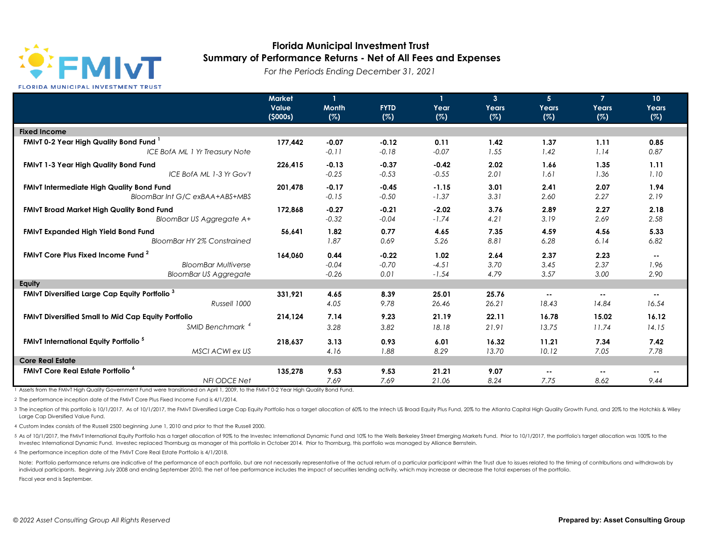

## **Florida Municipal Investment Trust Summary of Performance Returns - Net of All Fees and Expenses**

*For the Periods Ending December 31, 2021*

|                                                                  | <b>Market</b><br>Value<br>(5000s) | $\mathbf{1}$<br><b>Month</b><br>(%) | <b>FYTD</b><br>(%) | 1<br>Year<br>(%) | $\overline{3}$<br>Years<br>(%) | 5 <sup>5</sup><br>Years<br>(%) | $\overline{7}$<br>Years<br>(%) | 10 <sup>°</sup><br>Years<br>(%) |
|------------------------------------------------------------------|-----------------------------------|-------------------------------------|--------------------|------------------|--------------------------------|--------------------------------|--------------------------------|---------------------------------|
| <b>Fixed Income</b>                                              |                                   |                                     |                    |                  |                                |                                |                                |                                 |
| FMIvT 0-2 Year High Quality Bond Fund <sup>1</sup>               | 177.442                           | $-0.07$                             | $-0.12$            | 0.11             | 1.42                           | 1.37                           | 1.11                           | 0.85                            |
| ICE BofA ML 1 Yr Treasury Note                                   |                                   | $-0.11$                             | $-0.18$            | $-0.07$          | 1.55                           | 1.42                           | 1.14                           | 0.87                            |
| <b>FMIvT 1-3 Year High Quality Bond Fund</b>                     | 226,415                           | $-0.13$                             | $-0.37$            | $-0.42$          | 2.02                           | 1.66                           | 1.35                           | 1.11                            |
| ICE BofA ML 1-3 Yr Gov't                                         |                                   | $-0.25$                             | $-0.53$            | $-0.55$          | 2.01                           | 1.61                           | 1.36                           | 1.10                            |
| <b>FMIvT Intermediate High Quality Bond Fund</b>                 | 201,478                           | $-0.17$                             | $-0.45$            | $-1.15$          | 3.01                           | 2.41                           | 2.07                           | 1.94                            |
| BloomBar Int G/C exBAA+ABS+MBS                                   |                                   | $-0.15$                             | $-0.50$            | $-1.37$          | 3.31                           | 2.60                           | 2.27                           | 2.19                            |
| <b>FMIvT Broad Market High Quality Bond Fund</b>                 | 172,868                           | $-0.27$                             | $-0.21$            | $-2.02$          | 3.76                           | 2.89                           | 2.27                           | 2.18                            |
| <b>BloomBar US Aggregate A+</b>                                  |                                   | $-0.32$                             | $-0.04$            | $-1.74$          | 4.21                           | 3.19                           | 2.69                           | 2.58                            |
| <b>FMIvT Expanded High Yield Bond Fund</b>                       | 56,641                            | 1.82                                | 0.77               | 4.65             | 7.35                           | 4.59                           | 4.56                           | 5.33                            |
| <b>BloomBar HY 2% Constrained</b>                                |                                   | 1.87                                | 0.69               | 5.26             | 8.81                           | 6.28                           | 6.14                           | 6.82                            |
| <b>FMIvT Core Plus Fixed Income Fund 2</b>                       | 164,060                           | 0.44                                | $-0.22$            | 1.02             | 2.64                           | 2.37                           | 2.23                           | $\sim$ $-$                      |
| <b>BloomBar Multiverse</b>                                       |                                   | $-0.04$                             | $-0.70$            | $-4.51$          | 3.70                           | 3.45                           | 2.37                           | 1.96                            |
| <b>BloomBar US Aggregate</b>                                     |                                   | $-0.26$                             | 0.01               | $-1.54$          | 4.79                           | 3.57                           | 3.00                           | 2.90                            |
| Equity                                                           |                                   |                                     |                    |                  |                                |                                |                                |                                 |
| <b>FMIvT Diversified Large Cap Equity Portfolio</b> <sup>3</sup> | 331,921                           | 4.65                                | 8.39               | 25.01            | 25.76                          | $\sim$ $\sim$                  | $\sim$ $\sim$                  | $\sim$ $\sim$                   |
| Russell 1000                                                     |                                   | 4.05                                | 9.78               | 26.46            | 26.21                          | 18.43                          | 14.84                          | 16.54                           |
| <b>FMIvT Diversified Small to Mid Cap Equity Portfolio</b>       | 214,124                           | 7.14                                | 9.23               | 21.19            | 22.11                          | 16.78                          | 15.02                          | 16.12                           |
| SMID Benchmark <sup>4</sup>                                      |                                   | 3.28                                | 3.82               | 18.18            | 21.91                          | 13.75                          | 11.74                          | 14.15                           |
| <b>FMIvT International Equity Portfolio</b> <sup>5</sup>         | 218,637                           | 3.13                                | 0.93               | 6.01             | 16.32                          | 11.21                          | 7.34                           | 7.42                            |
| MSCI ACWI ex US                                                  |                                   | 4.16                                | 1.88               | 8.29             | 13.70                          | 10.12                          | 7.05                           | 7.78                            |
| <b>Core Real Estate</b>                                          |                                   |                                     |                    |                  |                                |                                |                                |                                 |
| <b>FMIvT Core Real Estate Portfolio<sup>6</sup></b>              | 135,278                           | 9.53                                | 9.53               | 21.21            | 9.07                           | $\sim$ $\sim$                  | $\sim$ $\sim$                  | $\sim$ $\sim$                   |
| <b>NFI ODCE Net</b>                                              |                                   | 7.69                                | 7.69               | 21.06            | 8.24                           | 7.75                           | 8.62                           | 9.44                            |

1 Assets from the FMIvT High Quality Government Fund were transitioned on April 1, 2009, to the FMIvT 0-2 Year High Quality Bond Fund.

2 The performance inception date of the FMIvT Core Plus Fixed Income Fund is 4/1/2014.

3 The inception of this portfolio is 10/1/2017. As of 10/1/2017, the FMWT Diversified Large Cap Equity Portfolio has a target allocation of 60% to the Intech US Broad Equity Puus Fund, 20% to the Atlanta Capital High Quali Large Cap Diversified Value Fund.

4 Custom Index consists of the Russell 2500 beginning June 1, 2010 and prior to that the Russell 2000.

5 As of 10/1/2017, the FMIvT International Equity Portfolio has a target allocation of 90% to the Investec International Dynamic Fund and 10% to the Wells Berkeley Street Emerging Markets Fund. Prior to 10/1/2017, the port Investec International Dynamic Fund. Investec replaced Thornburg as manager of this portfolio in October 2014. Prior to Thornburg, this portfolio was managed by Alliance Bernstein.

6 The performance inception date of the FMIvT Core Real Estate Portfolio is 4/1/2018.

Note: Portfolio performance returns are indicative of the performance of each portfolio, but are not necessarily representative of the actual return of a particular participant within the Trust due to issues related to the individual participants. Beginning July 2008 and ending September 2010, the net of fee performance includes the impact of securities lending activity, which may increase or decrease the total expenses of the portfolio. Fiscal year end is September.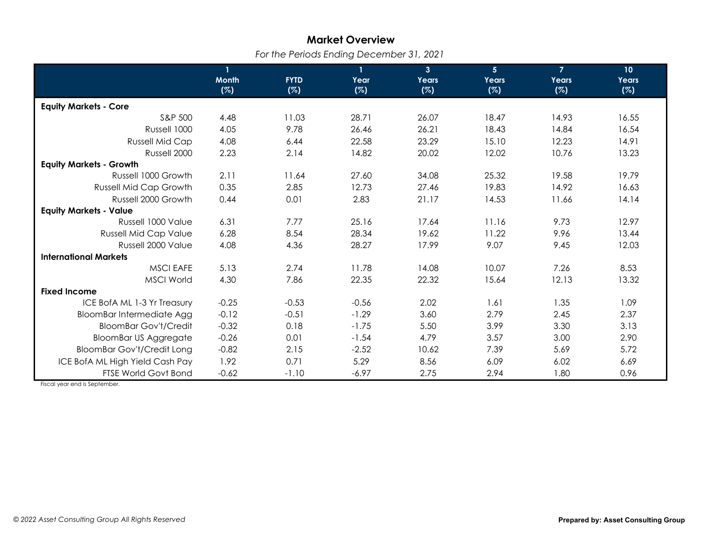## **Market Overview**

*For the Periods Ending December 31, 2021*

|                                   | $\mathbf{1}$ |             | $\mathbf{1}$ | 3 <sup>1</sup> | 5 <sup>1</sup> | $\overline{7}$ | 10 <sub>o</sub> |
|-----------------------------------|--------------|-------------|--------------|----------------|----------------|----------------|-----------------|
|                                   | <b>Month</b> | <b>FYTD</b> | Year         | Years          | Years          | Years          | Years           |
|                                   | (%)          | (%)         | (%)          | (%)            | (%)            | (%)            | (%)             |
| <b>Equity Markets - Core</b>      |              |             |              |                |                |                |                 |
| S&P 500                           | 4.48         | 11.03       | 28.71        | 26.07          | 18.47          | 14.93          | 16.55           |
| Russell 1000                      | 4.05         | 9.78        | 26.46        | 26.21          | 18.43          | 14.84          | 16.54           |
| <b>Russell Mid Cap</b>            | 4.08         | 6.44        | 22.58        | 23.29          | 15.10          | 12.23          | 14.91           |
| Russell 2000                      | 2.23         | 2.14        | 14.82        | 20.02          | 12.02          | 10.76          | 13.23           |
| <b>Equity Markets - Growth</b>    |              |             |              |                |                |                |                 |
| Russell 1000 Growth               | 2.11         | 11.64       | 27.60        | 34.08          | 25.32          | 19.58          | 19.79           |
| <b>Russell Mid Cap Growth</b>     | 0.35         | 2.85        | 12.73        | 27.46          | 19.83          | 14.92          | 16.63           |
| Russell 2000 Growth               | 0.44         | 0.01        | 2.83         | 21.17          | 14.53          | 11.66          | 14.14           |
| <b>Equity Markets - Value</b>     |              |             |              |                |                |                |                 |
| Russell 1000 Value                | 6.31         | 7.77        | 25.16        | 17.64          | 11.16          | 9.73           | 12.97           |
| <b>Russell Mid Cap Value</b>      | 6.28         | 8.54        | 28.34        | 19.62          | 11.22          | 9.96           | 13.44           |
| Russell 2000 Value                | 4.08         | 4.36        | 28.27        | 17.99          | 9.07           | 9.45           | 12.03           |
| <b>International Markets</b>      |              |             |              |                |                |                |                 |
| <b>MSCI EAFE</b>                  | 5.13         | 2.74        | 11.78        | 14.08          | 10.07          | 7.26           | 8.53            |
| <b>MSCI World</b>                 | 4.30         | 7.86        | 22.35        | 22.32          | 15.64          | 12.13          | 13.32           |
| <b>Fixed Income</b>               |              |             |              |                |                |                |                 |
| ICE BofA ML 1-3 Yr Treasury       | $-0.25$      | $-0.53$     | $-0.56$      | 2.02           | 1.61           | 1.35           | 1.09            |
| BloomBar Intermediate Agg         | $-0.12$      | $-0.51$     | $-1.29$      | 3.60           | 2.79           | 2.45           | 2.37            |
| <b>BloomBar Gov't/Credit</b>      | $-0.32$      | 0.18        | $-1.75$      | 5.50           | 3.99           | 3.30           | 3.13            |
| <b>BloomBar US Aggregate</b>      | $-0.26$      | 0.01        | $-1.54$      | 4.79           | 3.57           | 3.00           | 2.90            |
| <b>BloomBar Gov't/Credit Long</b> | $-0.82$      | 2.15        | $-2.52$      | 10.62          | 7.39           | 5.69           | 5.72            |
| ICE BofA ML High Yield Cash Pay   | 1.92         | 0.71        | 5.29         | 8.56           | 6.09           | 6.02           | 6.69            |
| FTSE World Govt Bond              | $-0.62$      | $-1.10$     | $-6.97$      | 2.75           | 2.94           | 1.80           | 0.96            |

Fiscal year end is September.